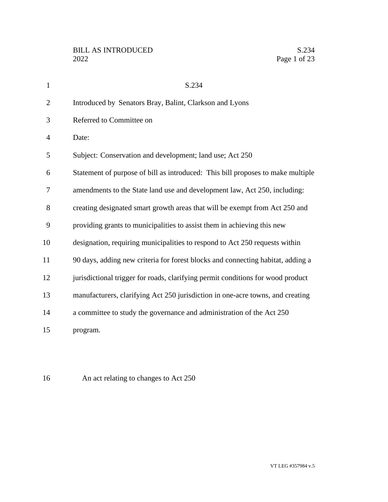| $\mathbf{1}$   | S.234                                                                           |
|----------------|---------------------------------------------------------------------------------|
| $\overline{2}$ | Introduced by Senators Bray, Balint, Clarkson and Lyons                         |
| 3              | Referred to Committee on                                                        |
| 4              | Date:                                                                           |
| 5              | Subject: Conservation and development; land use; Act 250                        |
| 6              | Statement of purpose of bill as introduced: This bill proposes to make multiple |
| 7              | amendments to the State land use and development law, Act 250, including:       |
| 8              | creating designated smart growth areas that will be exempt from Act 250 and     |
| 9              | providing grants to municipalities to assist them in achieving this new         |
| 10             | designation, requiring municipalities to respond to Act 250 requests within     |
| 11             | 90 days, adding new criteria for forest blocks and connecting habitat, adding a |
| 12             | jurisdictional trigger for roads, clarifying permit conditions for wood product |
| 13             | manufacturers, clarifying Act 250 jurisdiction in one-acre towns, and creating  |
| 14             | a committee to study the governance and administration of the Act 250           |
| 15             | program.                                                                        |

An act relating to changes to Act 250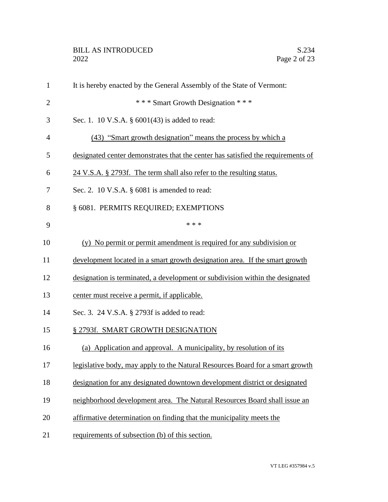| $\mathbf{1}$   | It is hereby enacted by the General Assembly of the State of Vermont:            |
|----------------|----------------------------------------------------------------------------------|
| $\overline{2}$ | *** Smart Growth Designation ***                                                 |
| 3              | Sec. 1. 10 V.S.A. § 6001(43) is added to read:                                   |
| 4              | (43) "Smart growth designation" means the process by which a                     |
| 5              | designated center demonstrates that the center has satisfied the requirements of |
| 6              | 24 V.S.A. § 2793f. The term shall also refer to the resulting status.            |
| 7              | Sec. 2. 10 V.S.A. $\S$ 6081 is amended to read:                                  |
| 8              | § 6081. PERMITS REQUIRED; EXEMPTIONS                                             |
| 9              | * * *                                                                            |
| 10             | (y) No permit or permit amendment is required for any subdivision or             |
| 11             | development located in a smart growth designation area. If the smart growth      |
| 12             | designation is terminated, a development or subdivision within the designated    |
| 13             | center must receive a permit, if applicable.                                     |
| 14             | Sec. 3. 24 V.S.A. § 2793f is added to read:                                      |
| 15             | § 2793f. SMART GROWTH DESIGNATION                                                |
| 16             | (a) Application and approval. A municipality, by resolution of its               |
| 17             | legislative body, may apply to the Natural Resources Board for a smart growth    |
| 18             | designation for any designated downtown development district or designated       |
| 19             | neighborhood development area. The Natural Resources Board shall issue an        |
| 20             | affirmative determination on finding that the municipality meets the             |
| 21             | requirements of subsection (b) of this section.                                  |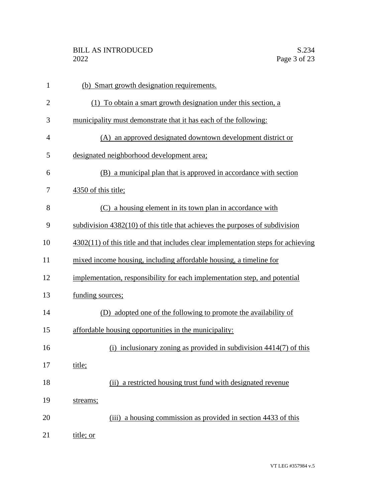| $\mathbf{1}$   | (b) Smart growth designation requirements.                                          |
|----------------|-------------------------------------------------------------------------------------|
| $\overline{2}$ | (1) To obtain a smart growth designation under this section, a                      |
| 3              | municipality must demonstrate that it has each of the following:                    |
| $\overline{4}$ | (A) an approved designated downtown development district or                         |
| 5              | designated neighborhood development area;                                           |
| 6              | (B) a municipal plan that is approved in accordance with section                    |
| 7              | 4350 of this title;                                                                 |
| 8              | (C) a housing element in its town plan in accordance with                           |
| 9              | subdivision $4382(10)$ of this title that achieves the purposes of subdivision      |
| 10             | $4302(11)$ of this title and that includes clear implementation steps for achieving |
| 11             | mixed income housing, including affordable housing, a timeline for                  |
| 12             | implementation, responsibility for each implementation step, and potential          |
| 13             | funding sources;                                                                    |
| 14             | (D) adopted one of the following to promote the availability of                     |
| 15             | affordable housing opportunities in the municipality:                               |
| 16             | (i) inclusionary zoning as provided in subdivision $4414(7)$ of this                |
| 17             | title;                                                                              |
| 18             | (ii) a restricted housing trust fund with designated revenue                        |
| 19             | streams;                                                                            |
| 20             | (iii) a housing commission as provided in section 4433 of this                      |
| 21             | title; or                                                                           |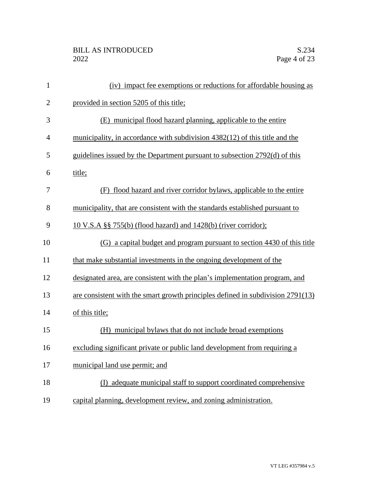| $\mathbf{1}$   | (iv) impact fee exemptions or reductions for affordable housing as              |
|----------------|---------------------------------------------------------------------------------|
| $\overline{2}$ | provided in section 5205 of this title;                                         |
| 3              | (E) municipal flood hazard planning, applicable to the entire                   |
| $\overline{4}$ | municipality, in accordance with subdivision 4382(12) of this title and the     |
| 5              | guidelines issued by the Department pursuant to subsection 2792(d) of this      |
| 6              | title;                                                                          |
| 7              | (F) flood hazard and river corridor bylaws, applicable to the entire            |
| 8              | municipality, that are consistent with the standards established pursuant to    |
| 9              | 10 V.S.A §§ 755(b) (flood hazard) and 1428(b) (river corridor);                 |
| 10             | (G) a capital budget and program pursuant to section 4430 of this title         |
| 11             | that make substantial investments in the ongoing development of the             |
| 12             | designated area, are consistent with the plan's implementation program, and     |
| 13             | are consistent with the smart growth principles defined in subdivision 2791(13) |
| 14             | of this title;                                                                  |
| 15             | (H) municipal bylaws that do not include broad exemptions                       |
| 16             | excluding significant private or public land development from requiring a       |
| 17             | municipal land use permit; and                                                  |
| 18             | (I) adequate municipal staff to support coordinated comprehensive               |
| 19             | capital planning, development review, and zoning administration.                |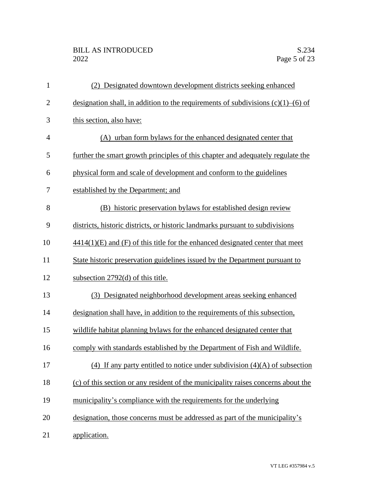## BILL AS INTRODUCED<br>2022 Page 5 of 23

| $\mathbf{1}$   | (2) Designated downtown development districts seeking enhanced                         |
|----------------|----------------------------------------------------------------------------------------|
| $\overline{2}$ | designation shall, in addition to the requirements of subdivisions $(c)(1)$ – $(6)$ of |
| 3              | this section, also have:                                                               |
| 4              | (A) urban form by laws for the enhanced designated center that                         |
| 5              | further the smart growth principles of this chapter and adequately regulate the        |
| 6              | physical form and scale of development and conform to the guidelines                   |
| 7              | established by the Department; and                                                     |
| 8              | (B) historic preservation bylaws for established design review                         |
| 9              | districts, historic districts, or historic landmarks pursuant to subdivisions          |
| 10             | $4414(1)(E)$ and (F) of this title for the enhanced designated center that meet        |
| 11             | State historic preservation guidelines issued by the Department pursuant to            |
| 12             | subsection $2792(d)$ of this title.                                                    |
| 13             | (3) Designated neighborhood development areas seeking enhanced                         |
| 14             | designation shall have, in addition to the requirements of this subsection,            |
| 15             | wildlife habitat planning bylaws for the enhanced designated center that               |
| 16             | comply with standards established by the Department of Fish and Wildlife.              |
| 17             | $(4)$ If any party entitled to notice under subdivision $(4)(A)$ of subsection         |
| 18             | (c) of this section or any resident of the municipality raises concerns about the      |
| 19             | municipality's compliance with the requirements for the underlying                     |
| 20             | designation, those concerns must be addressed as part of the municipality's            |
| 21             | application.                                                                           |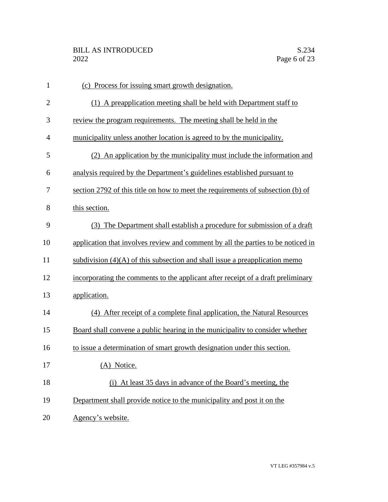| $\mathbf{1}$   | (c) Process for issuing smart growth designation.                                |
|----------------|----------------------------------------------------------------------------------|
| $\mathbf{2}$   | (1) A preapplication meeting shall be held with Department staff to              |
| 3              | review the program requirements. The meeting shall be held in the                |
| $\overline{4}$ | municipality unless another location is agreed to by the municipality.           |
| 5              | (2) An application by the municipality must include the information and          |
| 6              | analysis required by the Department's guidelines established pursuant to         |
| 7              | section 2792 of this title on how to meet the requirements of subsection (b) of  |
| 8              | this section.                                                                    |
| 9              | (3) The Department shall establish a procedure for submission of a draft         |
| 10             | application that involves review and comment by all the parties to be noticed in |
| 11             | subdivision $(4)(A)$ of this subsection and shall issue a preapplication memo-   |
| 12             | incorporating the comments to the applicant after receipt of a draft preliminary |
| 13             | application.                                                                     |
| 14             | (4) After receipt of a complete final application, the Natural Resources         |
| 15             | Board shall convene a public hearing in the municipality to consider whether     |
| 16             | to issue a determination of smart growth designation under this section.         |
| 17             | (A) Notice.                                                                      |
| 18             | (i) At least 35 days in advance of the Board's meeting, the                      |
| 19             | Department shall provide notice to the municipality and post it on the           |
| 20             | Agency's website.                                                                |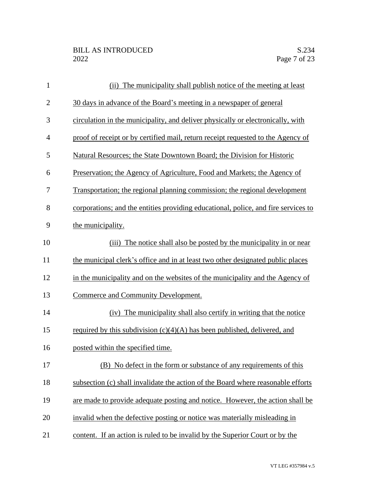| $\mathbf{1}$   | (ii) The municipality shall publish notice of the meeting at least                 |
|----------------|------------------------------------------------------------------------------------|
| $\mathbf{2}$   | 30 days in advance of the Board's meeting in a newspaper of general                |
| 3              | circulation in the municipality, and deliver physically or electronically, with    |
| $\overline{4}$ | proof of receipt or by certified mail, return receipt requested to the Agency of   |
| 5              | Natural Resources; the State Downtown Board; the Division for Historic             |
| 6              | Preservation; the Agency of Agriculture, Food and Markets; the Agency of           |
| 7              | Transportation; the regional planning commission; the regional development         |
| 8              | corporations; and the entities providing educational, police, and fire services to |
| 9              | the municipality.                                                                  |
| 10             | The notice shall also be posted by the municipality in or near<br>(iii)            |
| 11             | the municipal clerk's office and in at least two other designated public places    |
| 12             | in the municipality and on the websites of the municipality and the Agency of      |
| 13             | Commerce and Community Development.                                                |
| 14             | (iv) The municipality shall also certify in writing that the notice                |
| 15             | required by this subdivision $(c)(4)(A)$ has been published, delivered, and        |
| 16             | posted within the specified time.                                                  |
| 17             | (B) No defect in the form or substance of any requirements of this                 |
| 18             | subsection (c) shall invalidate the action of the Board where reasonable efforts   |
| 19             | are made to provide adequate posting and notice. However, the action shall be      |
| 20             | invalid when the defective posting or notice was materially misleading in          |
| 21             | content. If an action is ruled to be invalid by the Superior Court or by the       |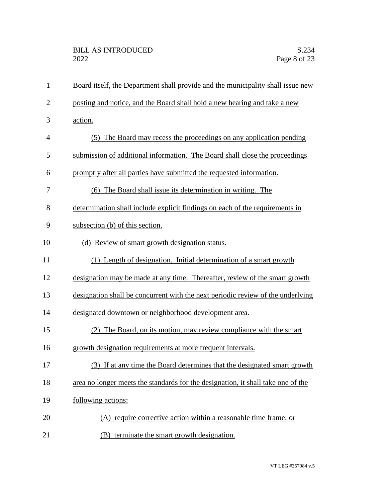| $\mathbf{1}$   | Board itself, the Department shall provide and the municipality shall issue new  |
|----------------|----------------------------------------------------------------------------------|
| $\overline{2}$ | posting and notice, and the Board shall hold a new hearing and take a new        |
| 3              | action.                                                                          |
| 4              | (5) The Board may recess the proceedings on any application pending              |
| 5              | submission of additional information. The Board shall close the proceedings      |
| 6              | promptly after all parties have submitted the requested information.             |
| 7              | (6) The Board shall issue its determination in writing. The                      |
| 8              | determination shall include explicit findings on each of the requirements in     |
| 9              | subsection (b) of this section.                                                  |
| 10             | (d) Review of smart growth designation status.                                   |
| 11             | (1) Length of designation. Initial determination of a smart growth               |
| 12             | designation may be made at any time. Thereafter, review of the smart growth      |
| 13             | designation shall be concurrent with the next periodic review of the underlying  |
| 14             | designated downtown or neighborhood development area.                            |
| 15             | (2) The Board, on its motion, may review compliance with the smart               |
| 16             | growth designation requirements at more frequent intervals.                      |
| 17             | (3) If at any time the Board determines that the designated smart growth         |
| 18             | area no longer meets the standards for the designation, it shall take one of the |
| 19             | following actions:                                                               |
| 20             | (A) require corrective action within a reasonable time frame; or                 |
| 21             | (B) terminate the smart growth designation.                                      |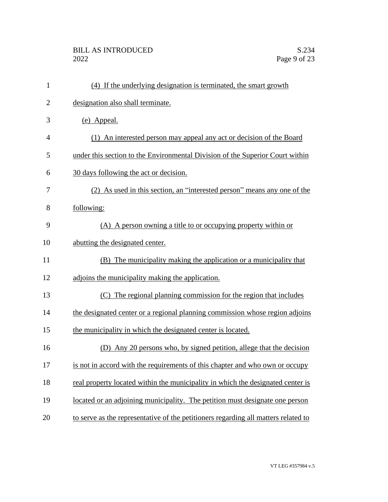## BILL AS INTRODUCED<br>2022 Page 9 of 23

| $\mathbf{1}$   | (4) If the underlying designation is terminated, the smart growth                  |
|----------------|------------------------------------------------------------------------------------|
| $\overline{2}$ | designation also shall terminate.                                                  |
| 3              | (e) Appeal.                                                                        |
| $\overline{4}$ | (1) An interested person may appeal any act or decision of the Board               |
| 5              | under this section to the Environmental Division of the Superior Court within      |
| 6              | 30 days following the act or decision.                                             |
| 7              | (2) As used in this section, an "interested person" means any one of the           |
| 8              | following:                                                                         |
| 9              | (A) A person owning a title to or occupying property within or                     |
| 10             | abutting the designated center.                                                    |
| 11             | (B) The municipality making the application or a municipality that                 |
| 12             | adjoins the municipality making the application.                                   |
| 13             | (C) The regional planning commission for the region that includes                  |
| 14             | the designated center or a regional planning commission whose region adjoins       |
| 15             | the municipality in which the designated center is located.                        |
| 16             | (D) Any 20 persons who, by signed petition, allege that the decision               |
| 17             | is not in accord with the requirements of this chapter and who own or occupy       |
| 18             | real property located within the municipality in which the designated center is    |
| 19             | located or an adjoining municipality. The petition must designate one person       |
| 20             | to serve as the representative of the petitioners regarding all matters related to |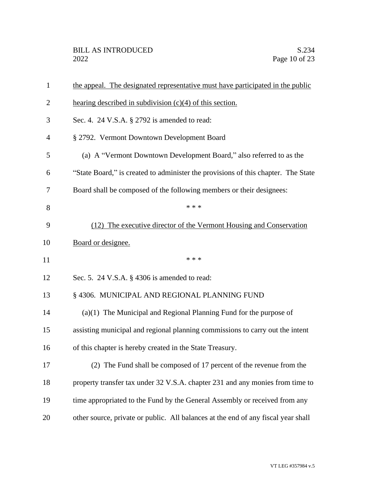| $\mathbf{1}$   | the appeal. The designated representative must have participated in the public    |
|----------------|-----------------------------------------------------------------------------------|
| $\overline{2}$ | hearing described in subdivision $(c)(4)$ of this section.                        |
| 3              | Sec. 4. 24 V.S.A. § 2792 is amended to read:                                      |
| 4              | § 2792. Vermont Downtown Development Board                                        |
| 5              | (a) A "Vermont Downtown Development Board," also referred to as the               |
| 6              | "State Board," is created to administer the provisions of this chapter. The State |
| 7              | Board shall be composed of the following members or their designees:              |
| 8              | * * *                                                                             |
| 9              | (12) The executive director of the Vermont Housing and Conservation               |
| 10             | Board or designee.                                                                |
| 11             | * * *                                                                             |
| 12             | Sec. 5. 24 V.S.A. § 4306 is amended to read:                                      |
| 13             | § 4306. MUNICIPAL AND REGIONAL PLANNING FUND                                      |
| 14             | $(a)(1)$ The Municipal and Regional Planning Fund for the purpose of              |
| 15             | assisting municipal and regional planning commissions to carry out the intent     |
| 16             | of this chapter is hereby created in the State Treasury.                          |
| 17             | (2) The Fund shall be composed of 17 percent of the revenue from the              |
| 18             | property transfer tax under 32 V.S.A. chapter 231 and any monies from time to     |
|                |                                                                                   |
| 19             | time appropriated to the Fund by the General Assembly or received from any        |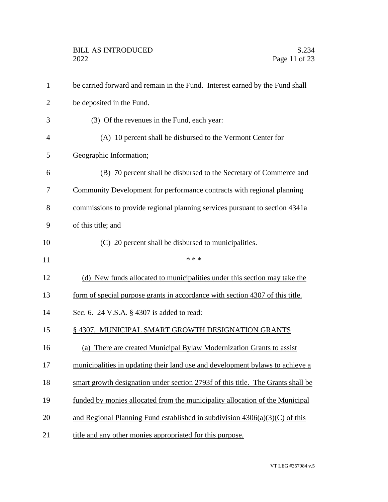| $\mathbf{1}$   | be carried forward and remain in the Fund. Interest earned by the Fund shall    |
|----------------|---------------------------------------------------------------------------------|
| $\overline{2}$ | be deposited in the Fund.                                                       |
| 3              | (3) Of the revenues in the Fund, each year:                                     |
| $\overline{4}$ | (A) 10 percent shall be disbursed to the Vermont Center for                     |
| 5              | Geographic Information;                                                         |
| 6              | (B) 70 percent shall be disbursed to the Secretary of Commerce and              |
| 7              | Community Development for performance contracts with regional planning          |
| 8              | commissions to provide regional planning services pursuant to section 4341a     |
| 9              | of this title; and                                                              |
| 10             | (C) 20 percent shall be disbursed to municipalities.                            |
| 11             | * * *                                                                           |
| 12             | (d) New funds allocated to municipalities under this section may take the       |
| 13             | form of special purpose grants in accordance with section 4307 of this title.   |
| 14             | Sec. 6. 24 V.S.A. § 4307 is added to read:                                      |
| 15             | §4307. MUNICIPAL SMART GROWTH DESIGNATION GRANTS                                |
| 16             | (a) There are created Municipal Bylaw Modernization Grants to assist            |
| 17             | municipalities in updating their land use and development bylaws to achieve a   |
| 18             | smart growth designation under section 2793f of this title. The Grants shall be |
| 19             | funded by monies allocated from the municipality allocation of the Municipal    |
| 20             | and Regional Planning Fund established in subdivision $4306(a)(3)(C)$ of this   |
| 21             | title and any other monies appropriated for this purpose.                       |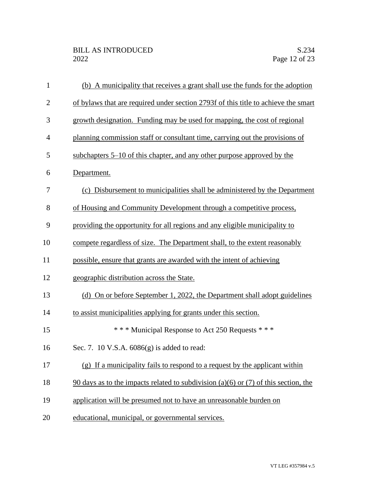| $\mathbf{1}$   | (b) A municipality that receives a grant shall use the funds for the adoption       |
|----------------|-------------------------------------------------------------------------------------|
| $\overline{2}$ | of bylaws that are required under section 2793f of this title to achieve the smart  |
| 3              | growth designation. Funding may be used for mapping, the cost of regional           |
| $\overline{4}$ | planning commission staff or consultant time, carrying out the provisions of        |
| 5              | subchapters 5–10 of this chapter, and any other purpose approved by the             |
| 6              | Department.                                                                         |
| 7              | (c) Disbursement to municipalities shall be administered by the Department          |
| 8              | of Housing and Community Development through a competitive process,                 |
| 9              | providing the opportunity for all regions and any eligible municipality to          |
| 10             | compete regardless of size. The Department shall, to the extent reasonably          |
| 11             | possible, ensure that grants are awarded with the intent of achieving               |
| 12             | geographic distribution across the State.                                           |
| 13             | (d) On or before September 1, 2022, the Department shall adopt guidelines           |
| 14             | to assist municipalities applying for grants under this section.                    |
| 15             | *** Municipal Response to Act 250 Requests ***                                      |
| 16             | Sec. 7. 10 V.S.A. 6086(g) is added to read:                                         |
| 17             | (g) If a municipality fails to respond to a request by the applicant within         |
| 18             | 90 days as to the impacts related to subdivision (a)(6) or (7) of this section, the |
| 19             | application will be presumed not to have an unreasonable burden on                  |
| 20             | educational, municipal, or governmental services.                                   |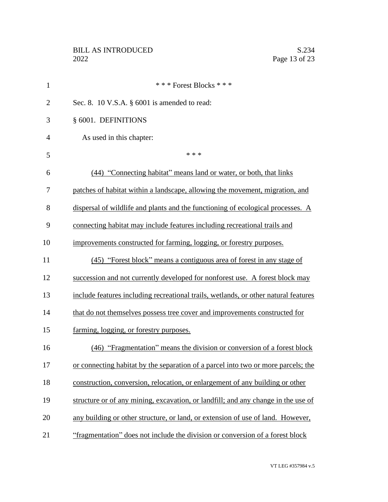| $\mathbf{1}$   | *** Forest Blocks ***                                                               |
|----------------|-------------------------------------------------------------------------------------|
| $\overline{2}$ | Sec. 8. 10 V.S.A. $\S$ 6001 is amended to read:                                     |
| 3              | § 6001. DEFINITIONS                                                                 |
| $\overline{4}$ | As used in this chapter:                                                            |
| 5              | * * *                                                                               |
| 6              | (44) "Connecting habitat" means land or water, or both, that links                  |
| 7              | patches of habitat within a landscape, allowing the movement, migration, and        |
| 8              | dispersal of wildlife and plants and the functioning of ecological processes. A     |
| 9              | connecting habitat may include features including recreational trails and           |
| 10             | improvements constructed for farming, logging, or forestry purposes.                |
| 11             | (45) "Forest block" means a contiguous area of forest in any stage of               |
| 12             | succession and not currently developed for nonforest use. A forest block may        |
| 13             | include features including recreational trails, wetlands, or other natural features |
| 14             | that do not themselves possess tree cover and improvements constructed for          |
| 15             | farming, logging, or forestry purposes.                                             |
| 16             | (46) "Fragmentation" means the division or conversion of a forest block             |
| 17             | or connecting habitat by the separation of a parcel into two or more parcels; the   |
| 18             | construction, conversion, relocation, or enlargement of any building or other       |
| 19             | structure or of any mining, excavation, or landfill; and any change in the use of   |
| 20             | any building or other structure, or land, or extension of use of land. However,     |
| 21             | "fragmentation" does not include the division or conversion of a forest block       |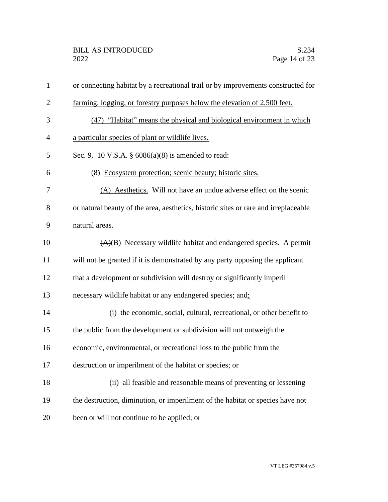| $\mathbf{1}$   | or connecting habitat by a recreational trail or by improvements constructed for    |
|----------------|-------------------------------------------------------------------------------------|
| $\overline{2}$ | <u>farming, logging, or forestry purposes below the elevation of 2,500 feet.</u>    |
| 3              | (47) "Habitat" means the physical and biological environment in which               |
| $\overline{4}$ | a particular species of plant or wildlife lives.                                    |
| 5              | Sec. 9. 10 V.S.A. $\S$ 6086(a)(8) is amended to read:                               |
| 6              | (8) Ecosystem protection; scenic beauty; historic sites.                            |
| 7              | (A) Aesthetics. Will not have an undue adverse effect on the scenic                 |
| 8              | or natural beauty of the area, aesthetics, historic sites or rare and irreplaceable |
| 9              | natural areas.                                                                      |
| 10             | $(A)(B)$ Necessary wildlife habitat and endangered species. A permit                |
| 11             | will not be granted if it is demonstrated by any party opposing the applicant       |
| 12             | that a development or subdivision will destroy or significantly imperil             |
| 13             | necessary wildlife habitat or any endangered species; and:                          |
| 14             | (i) the economic, social, cultural, recreational, or other benefit to               |
| 15             | the public from the development or subdivision will not outweigh the                |
| 16             | economic, environmental, or recreational loss to the public from the                |
| 17             | destruction or imperilment of the habitat or species; or                            |
| 18             | (ii) all feasible and reasonable means of preventing or lessening                   |
| 19             | the destruction, diminution, or imperilment of the habitat or species have not      |
| 20             | been or will not continue to be applied; or                                         |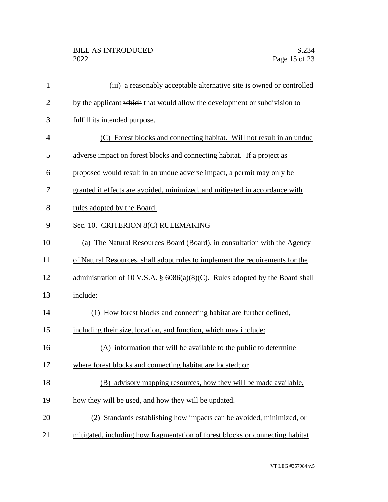## BILL AS INTRODUCED<br>2022 Page 15 of 23

| $\mathbf{1}$   | (iii) a reasonably acceptable alternative site is owned or controlled            |
|----------------|----------------------------------------------------------------------------------|
| $\overline{2}$ | by the applicant which that would allow the development or subdivision to        |
| 3              | fulfill its intended purpose.                                                    |
| 4              | (C) Forest blocks and connecting habitat. Will not result in an undue            |
| 5              | adverse impact on forest blocks and connecting habitat. If a project as          |
| 6              | proposed would result in an undue adverse impact, a permit may only be           |
| 7              | granted if effects are avoided, minimized, and mitigated in accordance with      |
| 8              | rules adopted by the Board.                                                      |
| 9              | Sec. 10. CRITERION 8(C) RULEMAKING                                               |
| 10             | (a) The Natural Resources Board (Board), in consultation with the Agency         |
| 11             | of Natural Resources, shall adopt rules to implement the requirements for the    |
| 12             | administration of 10 V.S.A. $\S$ 6086(a)(8)(C). Rules adopted by the Board shall |
| 13             | include:                                                                         |
| 14             | (1) How forest blocks and connecting habitat are further defined,                |
| 15             | including their size, location, and function, which may include:                 |
| 16             | (A) information that will be available to the public to determine                |
| 17             | where forest blocks and connecting habitat are located; or                       |
| 18             | (B) advisory mapping resources, how they will be made available,                 |
| 19             | how they will be used, and how they will be updated.                             |
| 20             | (2) Standards establishing how impacts can be avoided, minimized, or             |
| 21             | mitigated, including how fragmentation of forest blocks or connecting habitat    |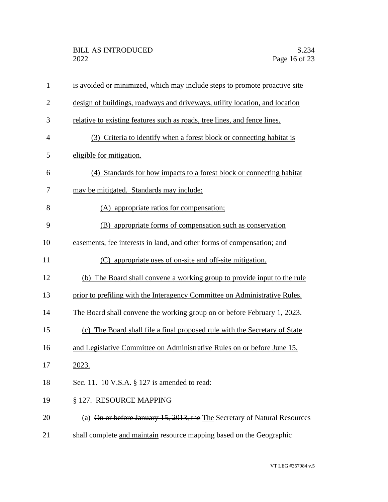| $\mathbf{1}$   | is avoided or minimized, which may include steps to promote proactive site  |
|----------------|-----------------------------------------------------------------------------|
| $\overline{2}$ | design of buildings, roadways and driveways, utility location, and location |
| 3              | relative to existing features such as roads, tree lines, and fence lines.   |
| $\overline{4}$ | (3) Criteria to identify when a forest block or connecting habitat is       |
| 5              | eligible for mitigation.                                                    |
| 6              | (4) Standards for how impacts to a forest block or connecting habitat       |
| 7              | may be mitigated. Standards may include:                                    |
| 8              | (A) appropriate ratios for compensation;                                    |
| 9              | (B) appropriate forms of compensation such as conservation                  |
| 10             | easements, fee interests in land, and other forms of compensation; and      |
| 11             | (C) appropriate uses of on-site and off-site mitigation.                    |
| 12             | (b) The Board shall convene a working group to provide input to the rule    |
| 13             | prior to prefiling with the Interagency Committee on Administrative Rules.  |
| 14             | The Board shall convene the working group on or before February 1, 2023.    |
| 15             | (c) The Board shall file a final proposed rule with the Secretary of State  |
| 16             | and Legislative Committee on Administrative Rules on or before June 15,     |
| 17             | 2023.                                                                       |
| 18             | Sec. 11. 10 V.S.A. § 127 is amended to read:                                |
| 19             | § 127. RESOURCE MAPPING                                                     |
| 20             | (a) On or before January 15, 2013, the The Secretary of Natural Resources   |
| 21             | shall complete and maintain resource mapping based on the Geographic        |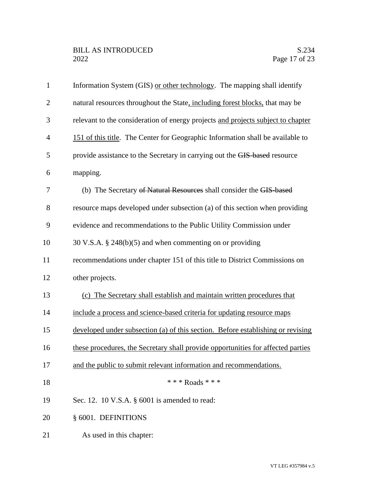| $\mathbf{1}$   | Information System (GIS) or other technology. The mapping shall identify         |
|----------------|----------------------------------------------------------------------------------|
| $\overline{2}$ | natural resources throughout the State, including forest blocks, that may be     |
| 3              | relevant to the consideration of energy projects and projects subject to chapter |
| $\overline{4}$ | 151 of this title. The Center for Geographic Information shall be available to   |
| 5              | provide assistance to the Secretary in carrying out the GIS-based resource       |
| 6              | mapping.                                                                         |
| 7              | (b) The Secretary of Natural Resources shall consider the GIS-based              |
| 8              | resource maps developed under subsection (a) of this section when providing      |
| 9              | evidence and recommendations to the Public Utility Commission under              |
| 10             | 30 V.S.A. $\S$ 248(b)(5) and when commenting on or providing                     |
| 11             | recommendations under chapter 151 of this title to District Commissions on       |
| 12             | other projects.                                                                  |
| 13             | (c) The Secretary shall establish and maintain written procedures that           |
| 14             | include a process and science-based criteria for updating resource maps          |
| 15             | developed under subsection (a) of this section. Before establishing or revising  |
| 16             | these procedures, the Secretary shall provide opportunities for affected parties |
| 17             | and the public to submit relevant information and recommendations.               |
| 18             | * * * Roads * * *                                                                |
| 19             | Sec. 12. 10 V.S.A. § 6001 is amended to read:                                    |
| 20             | § 6001. DEFINITIONS                                                              |
| 21             | As used in this chapter:                                                         |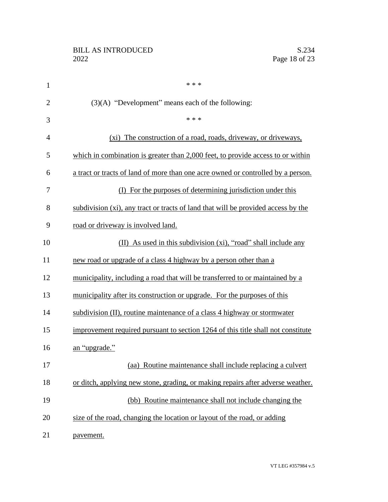| $\mathbf{1}$   | * * *                                                                             |
|----------------|-----------------------------------------------------------------------------------|
| $\overline{2}$ | $(3)(A)$ "Development" means each of the following:                               |
| 3              | * * *                                                                             |
| $\overline{4}$ | (xi) The construction of a road, roads, driveway, or driveways,                   |
| 5              | which in combination is greater than 2,000 feet, to provide access to or within   |
| 6              | a tract or tracts of land of more than one acre owned or controlled by a person.  |
| 7              | (I) For the purposes of determining jurisdiction under this                       |
| 8              | subdivision (xi), any tract or tracts of land that will be provided access by the |
| 9              | road or driveway is involved land.                                                |
| 10             | (II) As used in this subdivision (xi), "road" shall include any                   |
| 11             | new road or upgrade of a class 4 highway by a person other than a                 |
| 12             | municipality, including a road that will be transferred to or maintained by a     |
| 13             | municipality after its construction or upgrade. For the purposes of this          |
| 14             | subdivision (II), routine maintenance of a class 4 highway or stormwater          |
| 15             | improvement required pursuant to section 1264 of this title shall not constitute  |
| 16             | an "upgrade."                                                                     |
| 17             | (aa) Routine maintenance shall include replacing a culvert                        |
| 18             | or ditch, applying new stone, grading, or making repairs after adverse weather.   |
| 19             | (bb) Routine maintenance shall not include changing the                           |
| 20             | size of the road, changing the location or layout of the road, or adding          |
| 21             | pavement.                                                                         |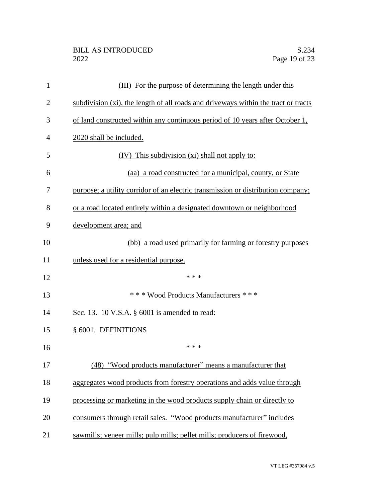| 1              | (III) For the purpose of determining the length under this                         |
|----------------|------------------------------------------------------------------------------------|
| $\overline{2}$ | subdivision (xi), the length of all roads and driveways within the tract or tracts |
| 3              | of land constructed within any continuous period of 10 years after October 1,      |
| $\overline{4}$ | 2020 shall be included.                                                            |
| 5              | (IV) This subdivision (xi) shall not apply to:                                     |
| 6              | (aa) a road constructed for a municipal, county, or State                          |
| 7              | purpose; a utility corridor of an electric transmission or distribution company;   |
| 8              | or a road located entirely within a designated downtown or neighborhood            |
| 9              | development area; and                                                              |
| 10             | (bb) a road used primarily for farming or forestry purposes                        |
| 11             | unless used for a residential purpose.                                             |
| 12             | * * *                                                                              |
| 13             | *** Wood Products Manufacturers ***                                                |
| 14             | Sec. 13. 10 V.S.A. § 6001 is amended to read:                                      |
| 15             | § 6001. DEFINITIONS                                                                |
| 16             | * * *                                                                              |
| 17             | (48) "Wood products manufacturer" means a manufacturer that                        |
| 18             | aggregates wood products from forestry operations and adds value through           |
| 19             | processing or marketing in the wood products supply chain or directly to           |
| 20             | consumers through retail sales. "Wood products manufacturer" includes              |
| 21             | sawmills; veneer mills; pulp mills; pellet mills; producers of firewood,           |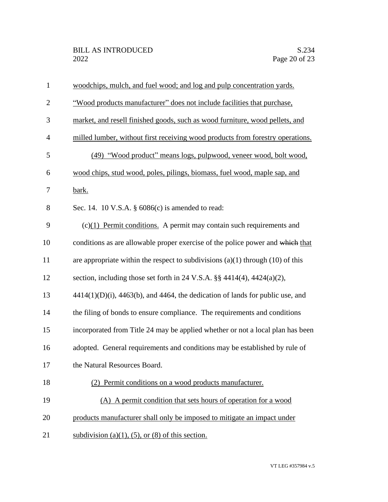| $\mathbf{1}$   | woodchips, mulch, and fuel wood; and log and pulp concentration yards.                 |
|----------------|----------------------------------------------------------------------------------------|
| $\overline{2}$ | "Wood products manufacturer" does not include facilities that purchase,                |
| 3              | market, and resell finished goods, such as wood furniture, wood pellets, and           |
| $\overline{4}$ | milled lumber, without first receiving wood products from forestry operations.         |
| 5              | (49) "Wood product" means logs, pulpwood, veneer wood, bolt wood,                      |
| 6              | wood chips, stud wood, poles, pilings, biomass, fuel wood, maple sap, and              |
| 7              | bark.                                                                                  |
| 8              | Sec. 14. 10 V.S.A. § 6086(c) is amended to read:                                       |
| 9              | $(c)(1)$ Permit conditions. A permit may contain such requirements and                 |
| 10             | conditions as are allowable proper exercise of the police power and which that         |
| 11             | are appropriate within the respect to subdivisions $(a)(1)$ through $(10)$ of this     |
| 12             | section, including those set forth in 24 V.S.A. $\S$ 4414(4), 4424(a)(2),              |
| 13             | $4414(1)(D)(i)$ , $4463(b)$ , and $4464$ , the dedication of lands for public use, and |
| 14             | the filing of bonds to ensure compliance. The requirements and conditions              |
| 15             | incorporated from Title 24 may be applied whether or not a local plan has been         |
| 16             | adopted. General requirements and conditions may be established by rule of             |
| 17             | the Natural Resources Board.                                                           |
| 18             | (2) Permit conditions on a wood products manufacturer.                                 |
| 19             | (A) A permit condition that sets hours of operation for a wood                         |
| 20             | products manufacturer shall only be imposed to mitigate an impact under                |
| 21             | subdivision (a)(1), (5), or (8) of this section.                                       |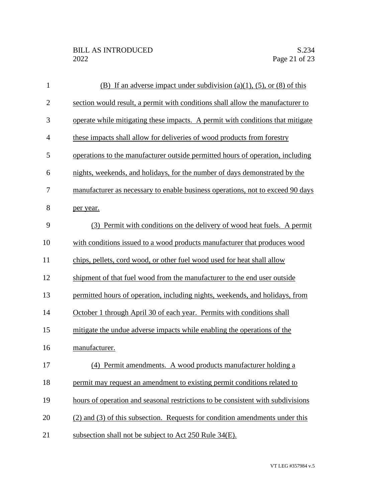| $\mathbf{1}$ | (B) If an adverse impact under subdivision (a)(1), (5), or (8) of this          |
|--------------|---------------------------------------------------------------------------------|
| $\mathbf{2}$ | section would result, a permit with conditions shall allow the manufacturer to  |
| 3            | operate while mitigating these impacts. A permit with conditions that mitigate  |
| 4            | these impacts shall allow for deliveries of wood products from forestry         |
| 5            | operations to the manufacturer outside permitted hours of operation, including  |
| 6            | nights, weekends, and holidays, for the number of days demonstrated by the      |
| 7            | manufacturer as necessary to enable business operations, not to exceed 90 days  |
| 8            | per year.                                                                       |
| 9            | (3) Permit with conditions on the delivery of wood heat fuels. A permit         |
| 10           | with conditions issued to a wood products manufacturer that produces wood       |
| 11           | chips, pellets, cord wood, or other fuel wood used for heat shall allow         |
| 12           | shipment of that fuel wood from the manufacturer to the end user outside        |
| 13           | permitted hours of operation, including nights, weekends, and holidays, from    |
| 14           | October 1 through April 30 of each year. Permits with conditions shall          |
| 15           | mitigate the undue adverse impacts while enabling the operations of the         |
| 16           | manufacturer.                                                                   |
| 17           | (4) Permit amendments. A wood products manufacturer holding a                   |
| 18           | permit may request an amendment to existing permit conditions related to        |
| 19           | hours of operation and seasonal restrictions to be consistent with subdivisions |
| 20           | (2) and (3) of this subsection. Requests for condition amendments under this    |
| 21           | subsection shall not be subject to Act 250 Rule 34(E).                          |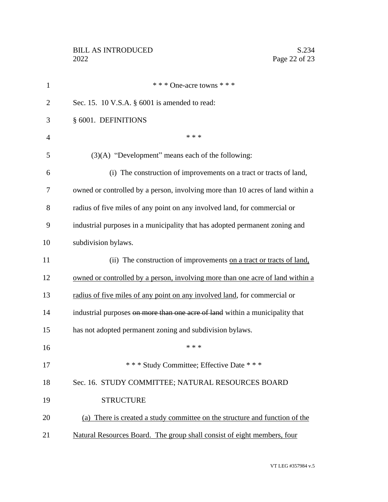| $\mathbf{1}$   | * * * One-acre towns * * *                                                     |
|----------------|--------------------------------------------------------------------------------|
| $\overline{2}$ | Sec. 15. 10 V.S.A. § 6001 is amended to read:                                  |
| 3              | § 6001. DEFINITIONS                                                            |
| $\overline{4}$ | * * *                                                                          |
| 5              | $(3)(A)$ "Development" means each of the following:                            |
| 6              | (i) The construction of improvements on a tract or tracts of land,             |
| 7              | owned or controlled by a person, involving more than 10 acres of land within a |
| 8              | radius of five miles of any point on any involved land, for commercial or      |
| 9              | industrial purposes in a municipality that has adopted permanent zoning and    |
| 10             | subdivision bylaws.                                                            |
| 11             | (ii) The construction of improvements on a tract or tracts of land,            |
| 12             | owned or controlled by a person, involving more than one acre of land within a |
| 13             | radius of five miles of any point on any involved land, for commercial or      |
| 14             | industrial purposes on more than one acre of land within a municipality that   |
| 15             | has not adopted permanent zoning and subdivision bylaws.                       |
| 16             | * * *                                                                          |
| 17             | * * * Study Committee; Effective Date * * *                                    |
| 18             | Sec. 16. STUDY COMMITTEE; NATURAL RESOURCES BOARD                              |
| 19             | <b>STRUCTURE</b>                                                               |
| 20             | (a) There is created a study committee on the structure and function of the    |
| 21             | Natural Resources Board. The group shall consist of eight members, four        |